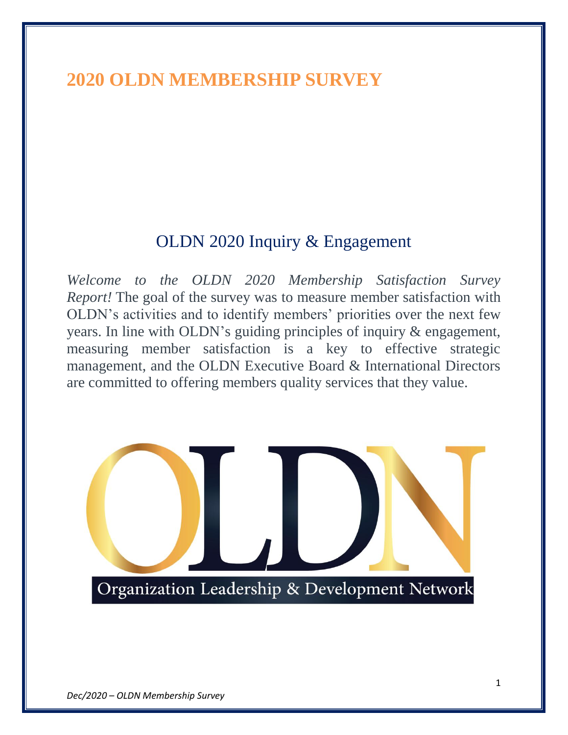# **2020 OLDN MEMBERSHIP SURVEY**

## OLDN 2020 Inquiry & Engagement

*Welcome to the OLDN 2020 Membership Satisfaction Survey Report!* The goal of the survey was to measure member satisfaction with OLDN's activities and to identify members' priorities over the next few years. In line with OLDN's guiding principles of inquiry & engagement, measuring member satisfaction is a key to effective strategic management, and the OLDN Executive Board & International Directors are committed to offering members quality services that they value.

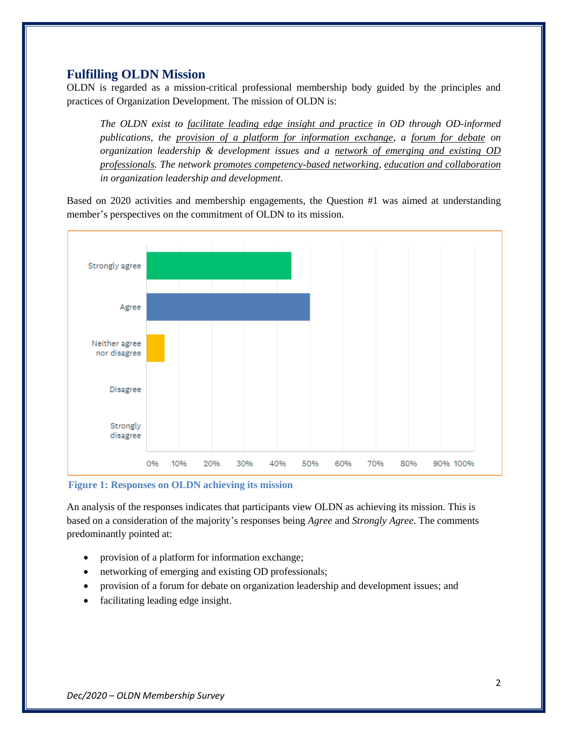## **Fulfilling OLDN Mission**

OLDN is regarded as a mission-critical professional membership body guided by the principles and practices of Organization Development. The mission of OLDN is:

*The OLDN exist to facilitate leading edge insight and practice in OD through OD-informed publications, the provision of a platform for information exchange, a forum for debate on organization leadership & development issues and a network of emerging and existing OD professionals. The network promotes competency-based networking, education and collaboration in organization leadership and development.*

Based on 2020 activities and membership engagements, the Question #1 was aimed at understanding member's perspectives on the commitment of OLDN to its mission.



**Figure 1: Responses on OLDN achieving its mission**

An analysis of the responses indicates that participants view OLDN as achieving its mission. This is based on a consideration of the majority's responses being *Agree* and *Strongly Agree*. The comments predominantly pointed at:

- provision of a platform for information exchange;
- networking of emerging and existing OD professionals;
- provision of a forum for debate on organization leadership and development issues; and
- facilitating leading edge insight.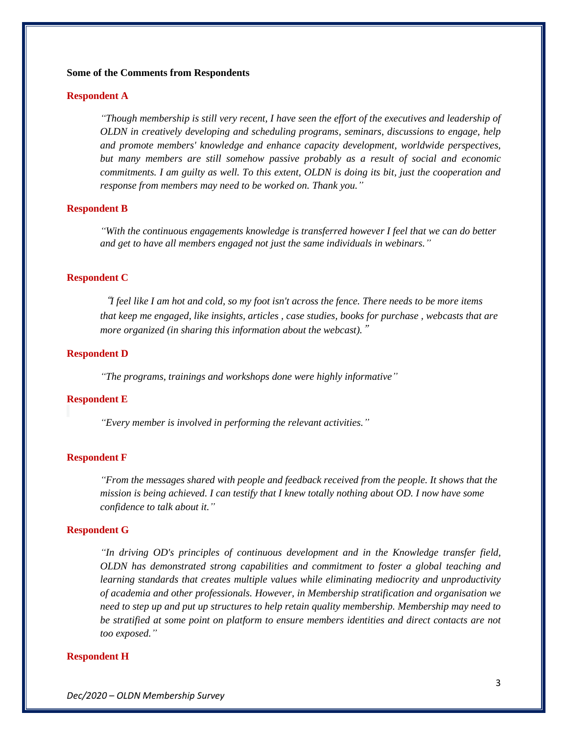#### **Some of the Comments from Respondents**

#### **Respondent A**

*"Though membership is still very recent, I have seen the effort of the executives and leadership of OLDN in creatively developing and scheduling programs, seminars, discussions to engage, help and promote members' knowledge and enhance capacity development, worldwide perspectives, but many members are still somehow passive probably as a result of social and economic commitments. I am guilty as well. To this extent, OLDN is doing its bit, just the cooperation and response from members may need to be worked on. Thank you."*

## **Respondent B**

*"With the continuous engagements knowledge is transferred however I feel that we can do better and get to have all members engaged not just the same individuals in webinars."*

### **Respondent C**

"*I feel like I am hot and cold, so my foot isn't across the fence. There needs to be more items that keep me engaged, like insights, articles , case studies, books for purchase , webcasts that are more organized (in sharing this information about the webcast).*"

### **Respondent D**

*"The programs, trainings and workshops done were highly informative"*

#### **Respondent E**

*"Every member is involved in performing the relevant activities."*

#### **Respondent F**

*"From the messages shared with people and feedback received from the people. It shows that the mission is being achieved. I can testify that I knew totally nothing about OD. I now have some confidence to talk about it."*

#### **Respondent G**

*"In driving OD's principles of continuous development and in the Knowledge transfer field, OLDN has demonstrated strong capabilities and commitment to foster a global teaching and learning standards that creates multiple values while eliminating mediocrity and unproductivity of academia and other professionals. However, in Membership stratification and organisation we need to step up and put up structures to help retain quality membership. Membership may need to be stratified at some point on platform to ensure members identities and direct contacts are not too exposed."*

#### **Respondent H**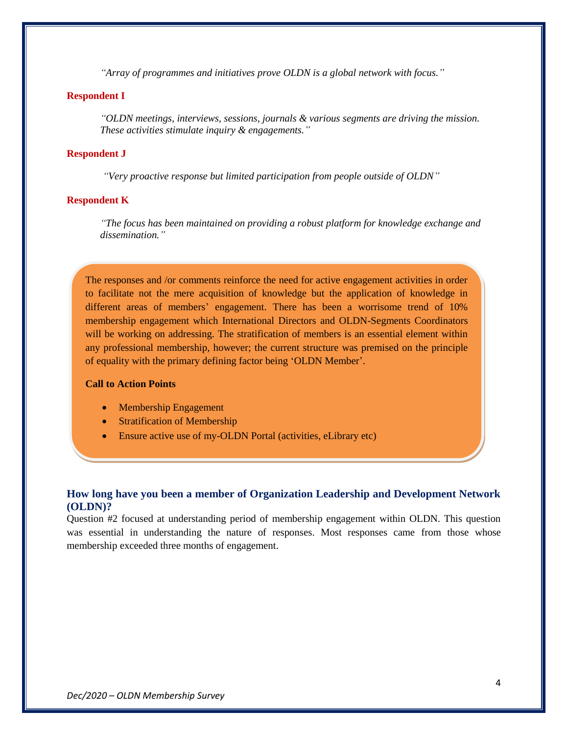*"Array of programmes and initiatives prove OLDN is a global network with focus."*

## **Respondent I**

*"OLDN meetings, interviews, sessions, journals & various segments are driving the mission. These activities stimulate inquiry & engagements."*

## **Respondent J**

*"Very proactive response but limited participation from people outside of OLDN"*

#### **Respondent K**

*"The focus has been maintained on providing a robust platform for knowledge exchange and dissemination."*

The responses and /or comments reinforce the need for active engagement activities in order to facilitate not the mere acquisition of knowledge but the application of knowledge in different areas of members' engagement. There has been a worrisome trend of 10% membership engagement which International Directors and OLDN-Segments Coordinators will be working on addressing. The stratification of members is an essential element within any professional membership, however; the current structure was premised on the principle of equality with the primary defining factor being 'OLDN Member'.

#### **Call to Action Points**

- Membership Engagement
- Stratification of Membership
- Ensure active use of my-OLDN Portal (activities, eLibrary etc)

## **How long have you been a member of Organization Leadership and Development Network (OLDN)?**

Question #2 focused at understanding period of membership engagement within OLDN. This question was essential in understanding the nature of responses. Most responses came from those whose membership exceeded three months of engagement.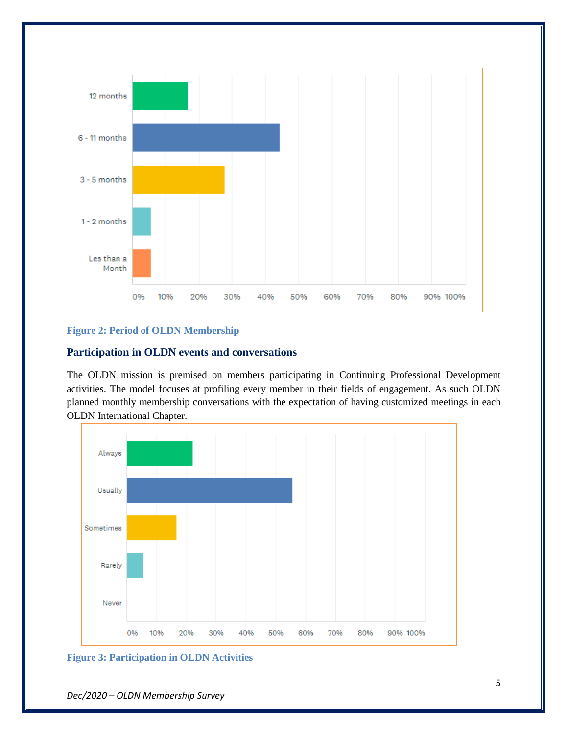

## **Figure 2: Period of OLDN Membership**

## **Participation in OLDN events and conversations**

The OLDN mission is premised on members participating in Continuing Professional Development activities. The model focuses at profiling every member in their fields of engagement. As such OLDN planned monthly membership conversations with the expectation of having customized meetings in each OLDN International Chapter.





*Dec/2020 – OLDN Membership Survey*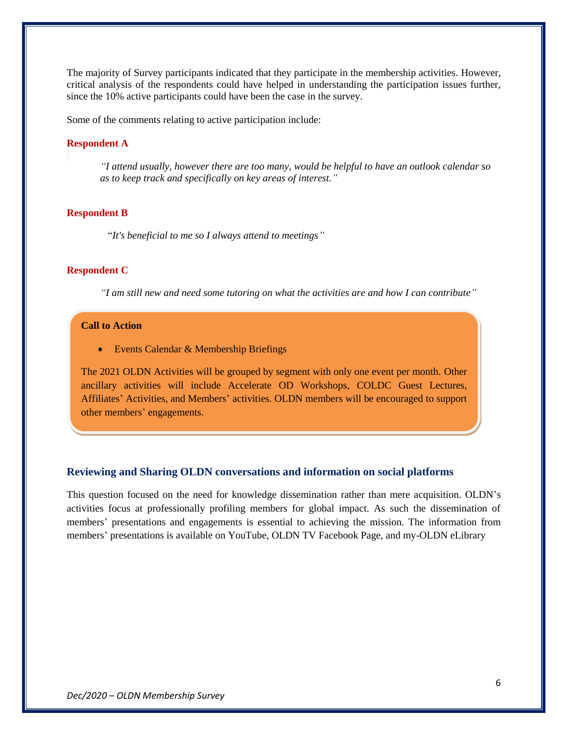The majority of Survey participants indicated that they participate in the membership activities. However, critical analysis of the respondents could have helped in understanding the participation issues further, since the 10% active participants could have been the case in the survey.

Some of the comments relating to active participation include:

## **Respondent A**

*"I attend usually, however there are too many, would be helpful to have an outlook calendar so as to keep track and specifically on key areas of interest."*

#### **Respondent B**

"*It's beneficial to me so I always attend to meetings"*

## **Respondent C**

*"I am still new and need some tutoring on what the activities are and how I can contribute"*

## **Call to Action**

• Events Calendar & Membership Briefings

The 2021 OLDN Activities will be grouped by segment with only one event per month. Other ancillary activities will include Accelerate OD Workshops, COLDC Guest Lectures, Affiliates' Activities, and Members' activities. OLDN members will be encouraged to support other members' engagements.

## **Reviewing and Sharing OLDN conversations and information on social platforms**

This question focused on the need for knowledge dissemination rather than mere acquisition. OLDN's activities focus at professionally profiling members for global impact. As such the dissemination of members' presentations and engagements is essential to achieving the mission. The information from members' presentations is available on YouTube, OLDN TV Facebook Page, and my-OLDN eLibrary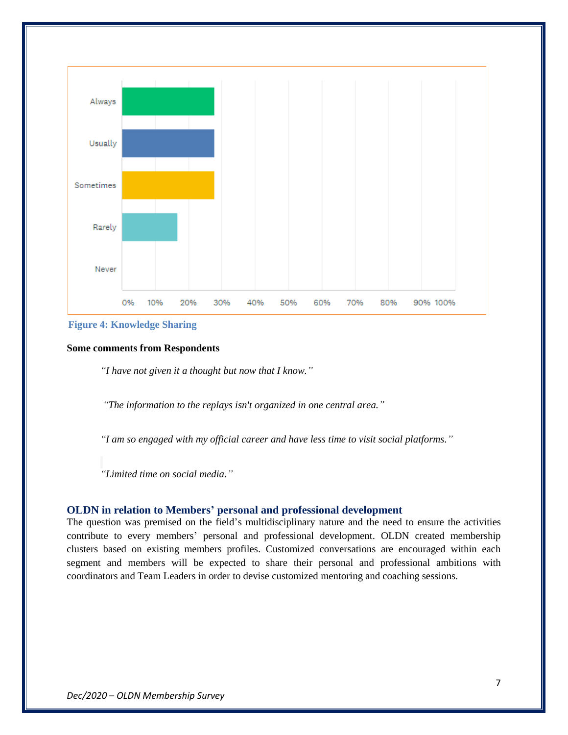



## **Some comments from Respondents**

*"I have not given it a thought but now that I know."*

*"The information to the replays isn't organized in one central area."*

*"I am so engaged with my official career and have less time to visit social platforms."*

*"Limited time on social media."*

## **OLDN in relation to Members' personal and professional development**

The question was premised on the field's multidisciplinary nature and the need to ensure the activities contribute to every members' personal and professional development. OLDN created membership clusters based on existing members profiles. Customized conversations are encouraged within each segment and members will be expected to share their personal and professional ambitions with coordinators and Team Leaders in order to devise customized mentoring and coaching sessions.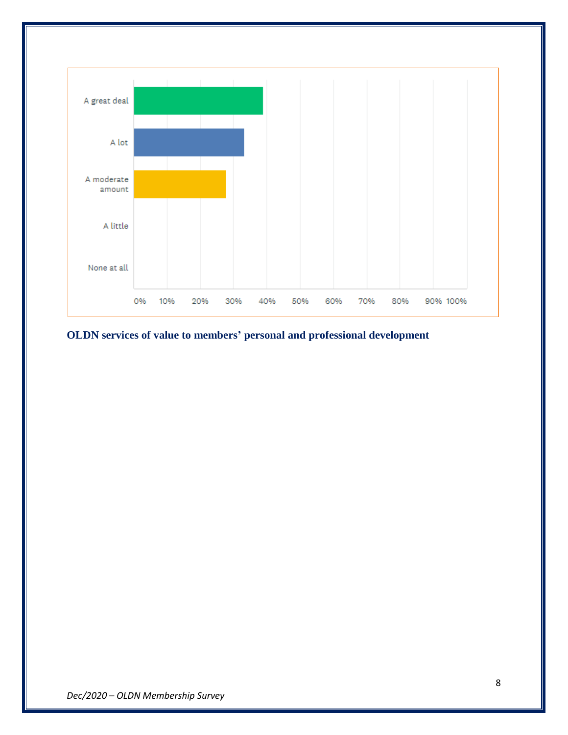

**OLDN services of value to members' personal and professional development**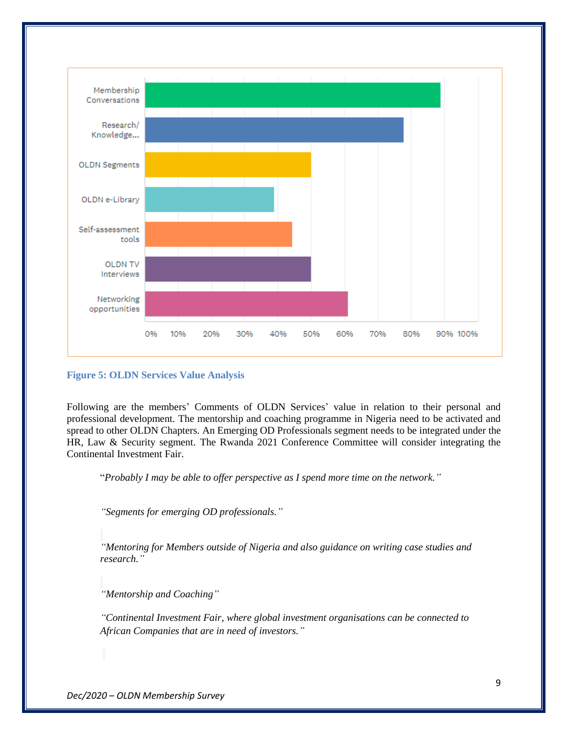

## **Figure 5: OLDN Services Value Analysis**

Following are the members' Comments of OLDN Services' value in relation to their personal and professional development. The mentorship and coaching programme in Nigeria need to be activated and spread to other OLDN Chapters. An Emerging OD Professionals segment needs to be integrated under the HR, Law & Security segment. The Rwanda 2021 Conference Committee will consider integrating the Continental Investment Fair.

"*Probably I may be able to offer perspective as I spend more time on the network."*

*"Segments for emerging OD professionals."*

*"Mentoring for Members outside of Nigeria and also guidance on writing case studies and research."*

*"Mentorship and Coaching"*

*"Continental Investment Fair, where global investment organisations can be connected to African Companies that are in need of investors."*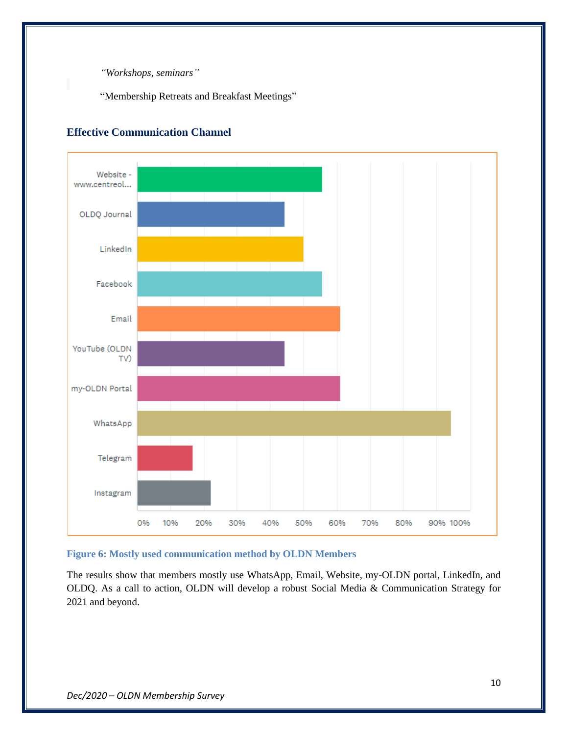*"Workshops, seminars"*

"Membership Retreats and Breakfast Meetings"



## **Effective Communication Channel**

## **Figure 6: Mostly used communication method by OLDN Members**

The results show that members mostly use WhatsApp, Email, Website, my-OLDN portal, LinkedIn, and OLDQ. As a call to action, OLDN will develop a robust Social Media & Communication Strategy for 2021 and beyond.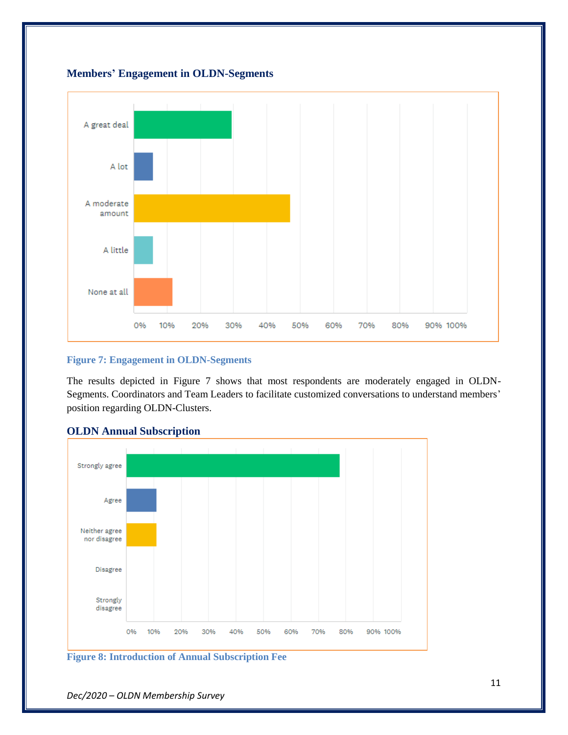



## **Figure 7: Engagement in OLDN-Segments**

The results depicted in Figure 7 shows that most respondents are moderately engaged in OLDN-Segments. Coordinators and Team Leaders to facilitate customized conversations to understand members' position regarding OLDN-Clusters.



## **OLDN Annual Subscription**

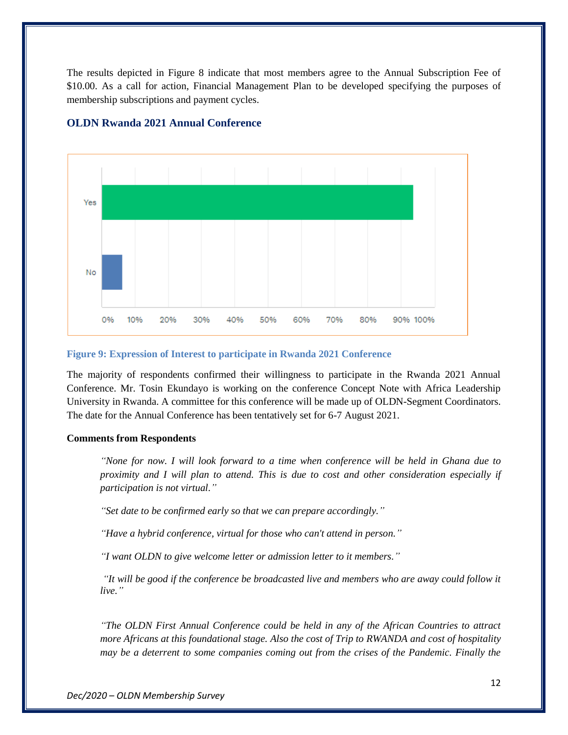The results depicted in Figure 8 indicate that most members agree to the Annual Subscription Fee of \$10.00. As a call for action, Financial Management Plan to be developed specifying the purposes of membership subscriptions and payment cycles.



## **OLDN Rwanda 2021 Annual Conference**

#### **Figure 9: Expression of Interest to participate in Rwanda 2021 Conference**

The majority of respondents confirmed their willingness to participate in the Rwanda 2021 Annual Conference. Mr. Tosin Ekundayo is working on the conference Concept Note with Africa Leadership University in Rwanda. A committee for this conference will be made up of OLDN-Segment Coordinators. The date for the Annual Conference has been tentatively set for 6-7 August 2021.

### **Comments from Respondents**

*"None for now. I will look forward to a time when conference will be held in Ghana due to proximity and I will plan to attend. This is due to cost and other consideration especially if participation is not virtual."*

*"Set date to be confirmed early so that we can prepare accordingly."*

*"Have a hybrid conference, virtual for those who can't attend in person."*

*"I want OLDN to give welcome letter or admission letter to it members."*

*"It will be good if the conference be broadcasted live and members who are away could follow it live."*

*"The OLDN First Annual Conference could be held in any of the African Countries to attract more Africans at this foundational stage. Also the cost of Trip to RWANDA and cost of hospitality may be a deterrent to some companies coming out from the crises of the Pandemic. Finally the*